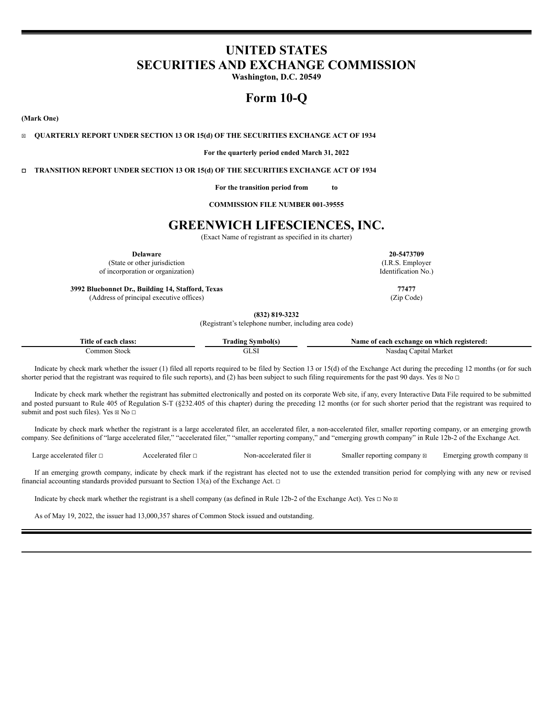# **UNITED STATES SECURITIES AND EXCHANGE COMMISSION**

**Washington, D.C. 20549**

# **Form 10-Q**

**(Mark One)**

☒ **QUARTERLY REPORT UNDER SECTION 13 OR 15(d) OF THE SECURITIES EXCHANGE ACT OF 1934**

**For the quarterly period ended March 31, 2022**

☐ **TRANSITION REPORT UNDER SECTION 13 OR 15(d) OF THE SECURITIES EXCHANGE ACT OF 1934**

**For the transition period from to**

**COMMISSION FILE NUMBER 001-39555**

# **GREENWICH LIFESCIENCES, INC.**

(Exact Name of registrant as specified in its charter)

**Delaware 20-5473709**

(State or other jurisdiction of incorporation or organization)

**3992 Bluebonnet Dr., Building 14, Stafford, Texas 77477** (Address of principal executive offices) (Zip Code)

**(832) 819-3232** (Registrant's telephone number, including area code)

| Title of each class: | - Symbol(s)<br>rading | Name of each exchange on which registered: |
|----------------------|-----------------------|--------------------------------------------|
| ∴ommon Stock         |                       | Capital Market<br>Nasdaq                   |

Indicate by check mark whether the issuer (1) filed all reports required to be filed by Section 13 or 15(d) of the Exchange Act during the preceding 12 months (or for such shorter period that the registrant was required to file such reports), and (2) has been subject to such filing requirements for the past 90 days. Yes  $\boxtimes$  No  $\Box$ 

Indicate by check mark whether the registrant has submitted electronically and posted on its corporate Web site, if any, every Interactive Data File required to be submitted and posted pursuant to Rule 405 of Regulation S-T (§232.405 of this chapter) during the preceding 12 months (or for such shorter period that the registrant was required to submit and post such files). Yes  $\boxtimes$  No  $\Box$ 

Indicate by check mark whether the registrant is a large accelerated filer, an accelerated filer, a non-accelerated filer, smaller reporting company, or an emerging growth company. See definitions of "large accelerated filer," "accelerated filer," "smaller reporting company," and "emerging growth company" in Rule 12b-2 of the Exchange Act.

Large accelerated filer □ Accelerated filer □ Non-accelerated filer ⊠ Smaller reporting company ⊠ Emerging growth company ⊠

If an emerging growth company, indicate by check mark if the registrant has elected not to use the extended transition period for complying with any new or revised financial accounting standards provided pursuant to Section 13(a) of the Exchange Act.  $\Box$ 

Indicate by check mark whether the registrant is a shell company (as defined in Rule 12b-2 of the Exchange Act). Yes  $\Box$  No  $\boxtimes$ 

As of May 19, 2022, the issuer had 13,000,357 shares of Common Stock issued and outstanding.

(I.R.S. Employer Identification No.)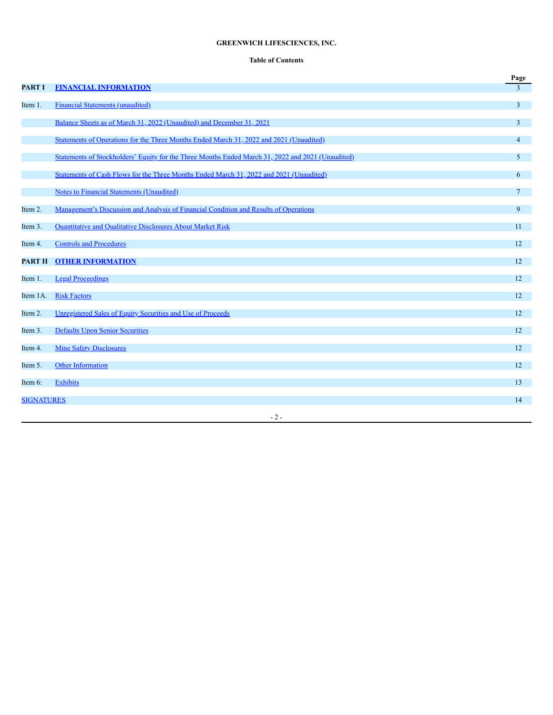# **GREENWICH LIFESCIENCES, INC.**

# **Table of Contents**

|                   |                                                                                                   | Page           |
|-------------------|---------------------------------------------------------------------------------------------------|----------------|
| <b>PART I</b>     | <b>FINANCIAL INFORMATION</b>                                                                      | $\mathcal{E}$  |
| Item 1.           | <b>Financial Statements (unaudited)</b>                                                           | $\overline{3}$ |
|                   | Balance Sheets as of March 31, 2022 (Unaudited) and December 31, 2021                             | 3              |
|                   | Statements of Operations for the Three Months Ended March 31, 2022 and 2021 (Unaudited)           | $\overline{4}$ |
|                   | Statements of Stockholders' Equity for the Three Months Ended March 31, 2022 and 2021 (Unaudited) | 5              |
|                   | Statements of Cash Flows for the Three Months Ended March 31, 2022 and 2021 (Unaudited)           | 6              |
|                   | <b>Notes to Financial Statements (Unaudited)</b>                                                  | $\tau$         |
| Item 2.           | Management's Discussion and Analysis of Financial Condition and Results of Operations             | 9              |
| Item 3.           | Quantitative and Qualitative Disclosures About Market Risk                                        | 11             |
| Item 4.           | <b>Controls and Procedures</b>                                                                    | 12             |
| <b>PART II</b>    | <b>OTHER INFORMATION</b>                                                                          | 12             |
| Item 1.           | <b>Legal Proceedings</b>                                                                          | 12             |
| Item 1A.          | <b>Risk Factors</b>                                                                               | 12             |
| Item 2.           | Unregistered Sales of Equity Securities and Use of Proceeds                                       | 12             |
| Item 3.           | <b>Defaults Upon Senior Securities</b>                                                            | 12             |
| Item 4.           | <b>Mine Safety Disclosures</b>                                                                    | 12             |
| Item 5.           | Other Information                                                                                 | 12             |
| Item 6:           | <b>Exhibits</b>                                                                                   | 13             |
| <b>SIGNATURES</b> |                                                                                                   | 14             |
|                   | $-2-$                                                                                             |                |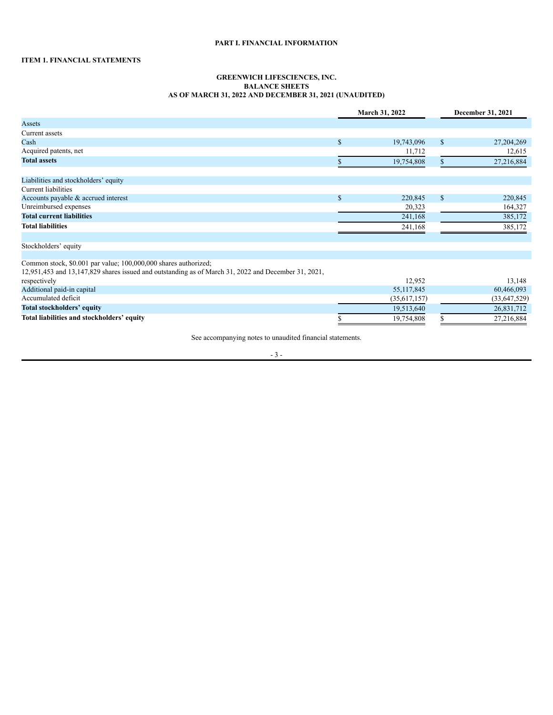# **PART I. FINANCIAL INFORMATION**

# <span id="page-2-2"></span><span id="page-2-1"></span><span id="page-2-0"></span>**ITEM 1. FINANCIAL STATEMENTS**

### **GREENWICH LIFESCIENCES, INC. BALANCE SHEETS AS OF MARCH 31, 2022 AND DECEMBER 31, 2021 (UNAUDITED)**

| March 31, 2022                                                                                                                                                             |               |                | December 31, 2021 |                |
|----------------------------------------------------------------------------------------------------------------------------------------------------------------------------|---------------|----------------|-------------------|----------------|
| Assets                                                                                                                                                                     |               |                |                   |                |
| Current assets                                                                                                                                                             |               |                |                   |                |
| Cash                                                                                                                                                                       | $\mathbf{\$}$ | 19,743,096     | $\mathbb{S}$      | 27,204,269     |
| Acquired patents, net                                                                                                                                                      |               | 11,712         |                   | 12,615         |
| <b>Total assets</b>                                                                                                                                                        |               | 19,754,808     |                   | 27,216,884     |
| Liabilities and stockholders' equity                                                                                                                                       |               |                |                   |                |
| Current liabilities                                                                                                                                                        |               |                |                   |                |
| Accounts payable & accrued interest                                                                                                                                        | $\mathbf{s}$  | 220,845        | $\mathbb{S}$      | 220,845        |
| Unreimbursed expenses                                                                                                                                                      |               | 20,323         |                   | 164,327        |
| <b>Total current liabilities</b>                                                                                                                                           |               | 241,168        |                   | 385,172        |
| <b>Total liabilities</b>                                                                                                                                                   |               | 241,168        |                   | 385,172        |
| Stockholders' equity                                                                                                                                                       |               |                |                   |                |
| Common stock, \$0.001 par value; 100,000,000 shares authorized;<br>$12,951,453$ and $13,147,829$ shares issued and outstanding as of March 31, 2022 and December 31, 2021, |               |                |                   |                |
| respectively                                                                                                                                                               |               | 12,952         |                   | 13,148         |
| Additional paid-in capital                                                                                                                                                 |               | 55, 117, 845   |                   | 60,466,093     |
| Accumulated deficit                                                                                                                                                        |               | (35, 617, 157) |                   | (33, 647, 529) |
| Total stockholders' equity                                                                                                                                                 |               | 19,513,640     |                   | 26,831,712     |
| Total liabilities and stockholders' equity                                                                                                                                 |               | 19,754,808     |                   | 27,216,884     |

See accompanying notes to unaudited financial statements.

- 3 -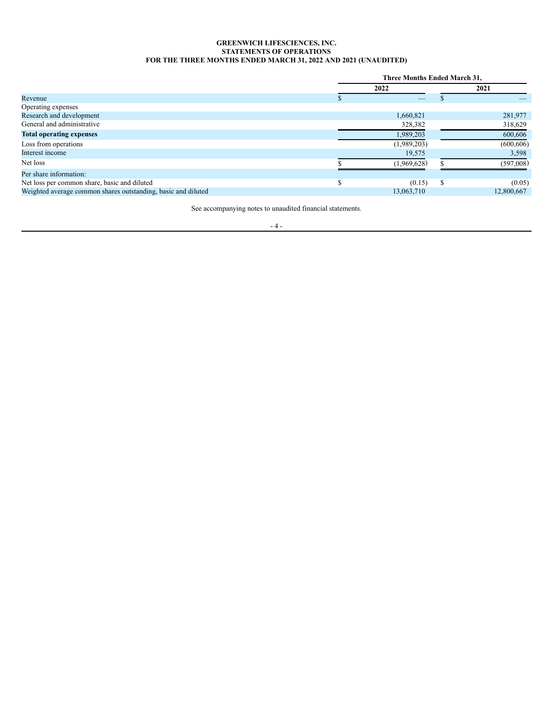# **GREENWICH LIFESCIENCES, INC. STATEMENTS OF OPERATIONS FOR THE THREE MONTHS ENDED MARCH 31, 2022 AND 2021 (UNAUDITED)**

<span id="page-3-0"></span>

|                                                               | <b>Three Months Ended March 31,</b> |               |            |  |
|---------------------------------------------------------------|-------------------------------------|---------------|------------|--|
|                                                               | 2022                                |               | 2021       |  |
| Revenue                                                       |                                     |               |            |  |
| Operating expenses                                            |                                     |               |            |  |
| Research and development                                      | 1,660,821                           |               | 281,977    |  |
| General and administrative                                    | 328,382                             |               | 318,629    |  |
| <b>Total operating expenses</b>                               | 1,989,203                           |               | 600,606    |  |
| Loss from operations                                          | (1,989,203)                         |               | (600, 606) |  |
| Interest income                                               | 19,575                              |               | 3,598      |  |
| Net loss                                                      | (1,969,628)                         |               | (597,008)  |  |
| Per share information:                                        |                                     |               |            |  |
| Net loss per common share, basic and diluted                  | (0.15)                              | <sup>\$</sup> | (0.05)     |  |
| Weighted average common shares outstanding, basic and diluted | 13,063,710                          |               | 12.800.667 |  |

See accompanying notes to unaudited financial statements.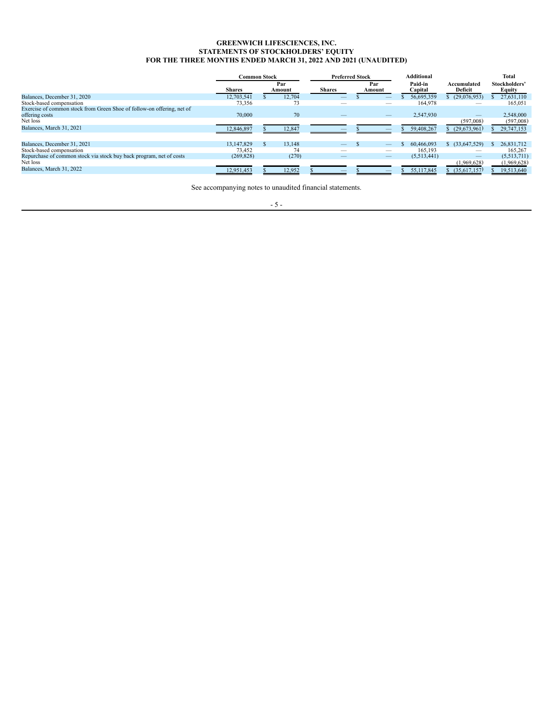#### **GREENWICH LIFESCIENCES, INC. STATEMENTS OF STOCKHOLDERS' EQUITY FOR THE THREE MONTHS ENDED MARCH 31, 2022 AND 2021 (UNAUDITED)**

<span id="page-4-0"></span>

|                                                                                          | <b>Common Stock</b> |               | <b>Preferred Stock</b> |               | <b>Additional</b>  |                        | Total                   |
|------------------------------------------------------------------------------------------|---------------------|---------------|------------------------|---------------|--------------------|------------------------|-------------------------|
|                                                                                          | <b>Shares</b>       | Par<br>Amount | <b>Shares</b>          | Par<br>Amount | Paid-in<br>Capital | Accumulated<br>Deficit | Stockholders'<br>Equity |
| Balances, December 31, 2020                                                              | 12,703,541          | 12,704        |                        |               | 56,695,359         | (29,076,953)           | 27,631,110              |
| Stock-based compensation                                                                 | 73,356              | 73            |                        |               | 164,978            |                        | 165,051                 |
| Exercise of common stock from Green Shoe of follow-on offering, net of<br>offering costs | 70,000              | 70            |                        |               | 2,547,930          | —                      | 2,548,000               |
| Net loss                                                                                 |                     |               |                        |               |                    | (597,008)              | (597,008)               |
| Balances, March 31, 2021                                                                 | 12,846,897          | 12,847        |                        |               | 59,408,267         | (29,673,961)           | 29,747,153              |
| Balances, December 31, 2021                                                              | 13.147.829          | 13,148        | —                      |               | 60.466.093         | (33,647,529)           | 26,831,712              |
| Stock-based compensation                                                                 | 73,452              | 74            | _                      |               | 165.193            |                        | 165,267                 |
| Repurchase of common stock via stock buy back program, net of costs                      | (269.828)           | (270)         |                        |               | (5,513,441)        |                        | (5,513,711)             |
| Net loss                                                                                 |                     |               |                        |               |                    | (1,969,628)            | (1,969,628)             |
| Balances, March 31, 2022                                                                 | 12,951,453          | 12,952        |                        |               | 55,117,845         | (35,617,157)           | 19,513,640              |

See accompanying notes to unaudited financial statements.

- 5 -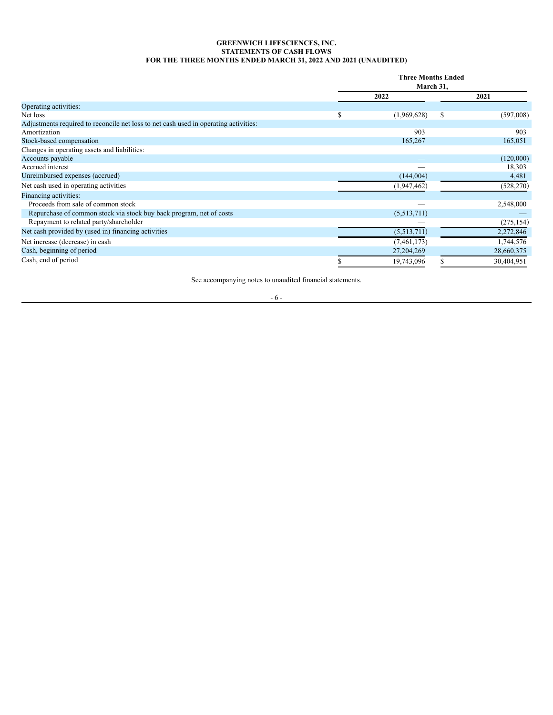# **GREENWICH LIFESCIENCES, INC. STATEMENTS OF CASH FLOWS FOR THE THREE MONTHS ENDED MARCH 31, 2022 AND 2021 (UNAUDITED)**

<span id="page-5-0"></span>

|                                                                                      |   | <b>Three Months Ended</b><br>March 31, |   |            |  |
|--------------------------------------------------------------------------------------|---|----------------------------------------|---|------------|--|
|                                                                                      |   | 2022                                   |   | 2021       |  |
| Operating activities:                                                                |   |                                        |   |            |  |
| Net loss                                                                             | S | (1,969,628)                            | S | (597,008)  |  |
| Adjustments required to reconcile net loss to net cash used in operating activities: |   |                                        |   |            |  |
| Amortization                                                                         |   | 903                                    |   | 903        |  |
| Stock-based compensation                                                             |   | 165,267                                |   | 165,051    |  |
| Changes in operating assets and liabilities:                                         |   |                                        |   |            |  |
| Accounts payable                                                                     |   |                                        |   | (120,000)  |  |
| Accrued interest                                                                     |   |                                        |   | 18,303     |  |
| Unreimbursed expenses (accrued)                                                      |   | (144,004)                              |   | 4,481      |  |
| Net cash used in operating activities                                                |   | (1,947,462)                            |   | (528, 270) |  |
| Financing activities:                                                                |   |                                        |   |            |  |
| Proceeds from sale of common stock                                                   |   |                                        |   | 2,548,000  |  |
| Repurchase of common stock via stock buy back program, net of costs                  |   | (5,513,711)                            |   |            |  |
| Repayment to related party/shareholder                                               |   |                                        |   | (275, 154) |  |
| Net cash provided by (used in) financing activities                                  |   | (5,513,711)                            |   | 2,272,846  |  |
| Net increase (decrease) in cash                                                      |   | (7, 461, 173)                          |   | 1,744,576  |  |
| Cash, beginning of period                                                            |   | 27, 204, 269                           |   | 28,660,375 |  |
| Cash, end of period                                                                  |   | 19,743,096                             |   | 30,404,951 |  |

See accompanying notes to unaudited financial statements.

- 6 -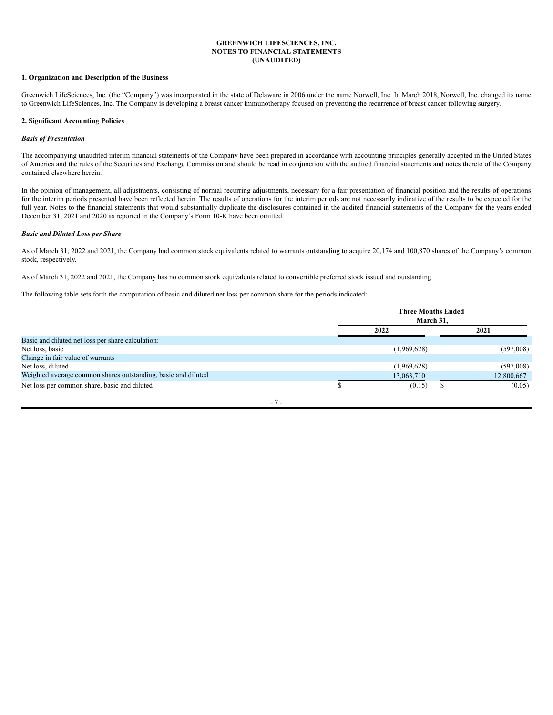#### **GREENWICH LIFESCIENCES, INC. NOTES TO FINANCIAL STATEMENTS (UNAUDITED)**

# <span id="page-6-0"></span>**1. Organization and Description of the Business**

Greenwich LifeSciences, Inc. (the "Company") was incorporated in the state of Delaware in 2006 under the name Norwell, Inc. In March 2018, Norwell, Inc. changed its name to Greenwich LifeSciences, Inc. The Company is developing a breast cancer immunotherapy focused on preventing the recurrence of breast cancer following surgery.

#### **2. Significant Accounting Policies**

### *Basis of Presentation*

The accompanying unaudited interim financial statements of the Company have been prepared in accordance with accounting principles generally accepted in the United States of America and the rules of the Securities and Exchange Commission and should be read in conjunction with the audited financial statements and notes thereto of the Company contained elsewhere herein.

In the opinion of management, all adjustments, consisting of normal recurring adjustments, necessary for a fair presentation of financial position and the results of operations for the interim periods presented have been reflected herein. The results of operations for the interim periods are not necessarily indicative of the results to be expected for the full year. Notes to the financial statements that would substantially duplicate the disclosures contained in the audited financial statements of the Company for the years ended December 31, 2021 and 2020 as reported in the Company's Form 10-K have been omitted.

#### *Basic and Diluted Loss per Share*

As of March 31, 2022 and 2021, the Company had common stock equivalents related to warrants outstanding to acquire 20,174 and 100,870 shares of the Company's common stock, respectively.

As of March 31, 2022 and 2021, the Company has no common stock equivalents related to convertible preferred stock issued and outstanding.

The following table sets forth the computation of basic and diluted net loss per common share for the periods indicated:

|                                                               |      | <b>Three Months Ended</b><br>March 31. |  |            |
|---------------------------------------------------------------|------|----------------------------------------|--|------------|
|                                                               | 2022 |                                        |  | 2021       |
| Basic and diluted net loss per share calculation:             |      |                                        |  |            |
| Net loss, basic                                               |      | (1,969,628)                            |  | (597,008)  |
| Change in fair value of warrants                              |      |                                        |  |            |
| Net loss, diluted                                             |      | (1,969,628)                            |  | (597,008)  |
| Weighted average common shares outstanding, basic and diluted |      | 13,063,710                             |  | 12,800,667 |
| Net loss per common share, basic and diluted                  |      | (0.15)                                 |  | (0.05)     |

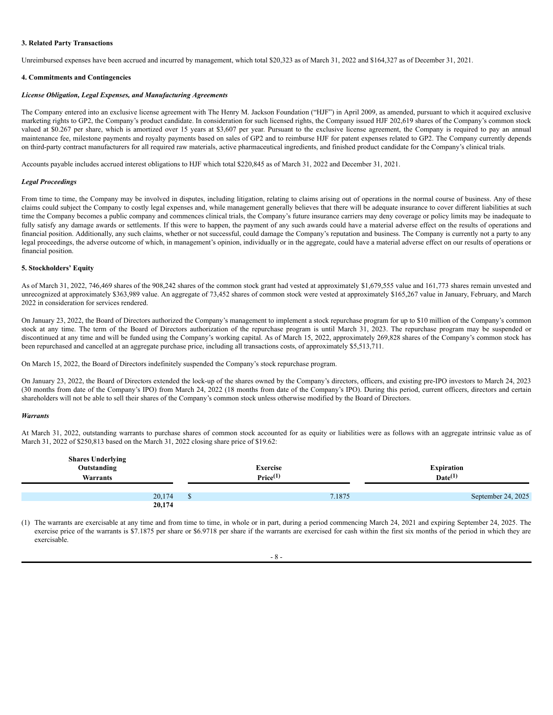#### **3. Related Party Transactions**

Unreimbursed expenses have been accrued and incurred by management, which total \$20,323 as of March 31, 2022 and \$164,327 as of December 31, 2021.

#### **4. Commitments and Contingencies**

#### *License Obligation, Legal Expenses, and Manufacturing Agreements*

The Company entered into an exclusive license agreement with The Henry M. Jackson Foundation ("HJF") in April 2009, as amended, pursuant to which it acquired exclusive marketing rights to GP2, the Company's product candidate. In consideration for such licensed rights, the Company issued HJF 202,619 shares of the Company's common stock valued at \$0.267 per share, which is amortized over 15 years at \$3,607 per year. Pursuant to the exclusive license agreement, the Company is required to pay an annual maintenance fee, milestone payments and royalty payments based on sales of GP2 and to reimburse HJF for patent expenses related to GP2. The Company currently depends on third-party contract manufacturers for all required raw materials, active pharmaceutical ingredients, and finished product candidate for the Company's clinical trials.

Accounts payable includes accrued interest obligations to HJF which total \$220,845 as of March 31, 2022 and December 31, 2021.

#### *Legal Proceedings*

From time to time, the Company may be involved in disputes, including litigation, relating to claims arising out of operations in the normal course of business. Any of these claims could subject the Company to costly legal expenses and, while management generally believes that there will be adequate insurance to cover different liabilities at such time the Company becomes a public company and commences clinical trials, the Company's future insurance carriers may deny coverage or policy limits may be inadequate to fully satisfy any damage awards or settlements. If this were to happen, the payment of any such awards could have a material adverse effect on the results of operations and financial position. Additionally, any such claims, whether or not successful, could damage the Company's reputation and business. The Company is currently not a party to any legal proceedings, the adverse outcome of which, in management's opinion, individually or in the aggregate, could have a material adverse effect on our results of operations or financial position.

#### **5. Stockholders' Equity**

As of March 31, 2022, 746,469 shares of the 908,242 shares of the common stock grant had vested at approximately \$1,679,555 value and 161,773 shares remain unvested and unrecognized at approximately \$363,989 value. An aggregate of 73,452 shares of common stock were vested at approximately \$165,267 value in January, February, and March 2022 in consideration for services rendered.

On January 23, 2022, the Board of Directors authorized the Company's management to implement a stock repurchase program for up to \$10 million of the Company's common stock at any time. The term of the Board of Directors authorization of the repurchase program is until March 31, 2023. The repurchase program may be suspended or discontinued at any time and will be funded using the Company's working capital. As of March 15, 2022, approximately 269,828 shares of the Company's common stock has been repurchased and cancelled at an aggregate purchase price, including all transactions costs, of approximately \$5,513,711.

On March 15, 2022, the Board of Directors indefinitely suspended the Company's stock repurchase program.

On January 23, 2022, the Board of Directors extended the lock-up of the shares owned by the Company's directors, officers, and existing pre-IPO investors to March 24, 2023 (30 months from date of the Company's IPO) from March 24, 2022 (18 months from date of the Company's IPO). During this period, current officers, directors and certain shareholders will not be able to sell their shares of the Company's common stock unless otherwise modified by the Board of Directors.

#### *Warrants*

At March 31, 2022, outstanding warrants to purchase shares of common stock accounted for as equity or liabilities were as follows with an aggregate intrinsic value as of March 31, 2022 of \$250,813 based on the March 31, 2022 closing share price of \$19.62:

| <b>Shares Underlying</b><br>Outstanding<br>Warrants | Exercise<br>Price <sup>(1)</sup> | <b>Expiration</b><br>$Date^{(1)}$ |
|-----------------------------------------------------|----------------------------------|-----------------------------------|
|                                                     |                                  |                                   |
| 20,174                                              | 7.1875                           | September 24, 2025                |
| 20,174                                              |                                  |                                   |

(1) The warrants are exercisable at any time and from time to time, in whole or in part, during a period commencing March 24, 2021 and expiring September 24, 2025. The exercise price of the warrants is \$7.1875 per share or \$6.9718 per share if the warrants are exercised for cash within the first six months of the period in which they are exercisable.

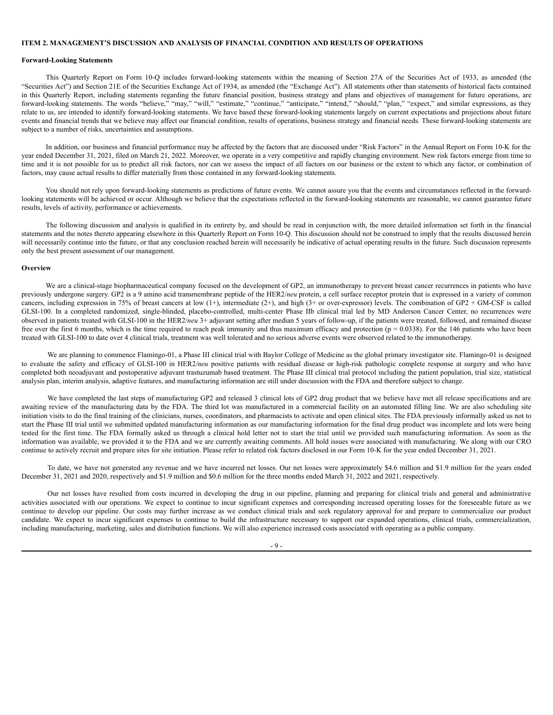#### <span id="page-8-0"></span>**ITEM 2. MANAGEMENT'S DISCUSSION AND ANALYSIS OF FINANCIAL CONDITION AND RESULTS OF OPERATIONS**

#### **Forward-Looking Statements**

This Quarterly Report on Form 10-Q includes forward-looking statements within the meaning of Section 27A of the Securities Act of 1933, as amended (the "Securities Act") and Section 21E of the Securities Exchange Act of 1934, as amended (the "Exchange Act"). All statements other than statements of historical facts contained in this Quarterly Report, including statements regarding the future financial position, business strategy and plans and objectives of management for future operations, are forward-looking statements. The words "believe," "may," "will," "estimate," "continue," "anticipate," "intend," "should," "plan," "expect," and similar expressions, as they relate to us, are intended to identify forward-looking statements. We have based these forward-looking statements largely on current expectations and projections about future events and financial trends that we believe may affect our financial condition, results of operations, business strategy and financial needs. These forward-looking statements are subject to a number of risks, uncertainties and assumptions.

In addition, our business and financial performance may be affected by the factors that are discussed under "Risk Factors" in the Annual Report on Form 10-K for the year ended December 31, 2021, filed on March 21, 2022. Moreover, we operate in a very competitive and rapidly changing environment. New risk factors emerge from time to time and it is not possible for us to predict all risk factors, nor can we assess the impact of all factors on our business or the extent to which any factor, or combination of factors, may cause actual results to differ materially from those contained in any forward-looking statements.

You should not rely upon forward-looking statements as predictions of future events. We cannot assure you that the events and circumstances reflected in the forwardlooking statements will be achieved or occur. Although we believe that the expectations reflected in the forward-looking statements are reasonable, we cannot guarantee future results, levels of activity, performance or achievements.

The following discussion and analysis is qualified in its entirety by, and should be read in conjunction with, the more detailed information set forth in the financial statements and the notes thereto appearing elsewhere in this Quarterly Report on Form 10-Q. This discussion should not be construed to imply that the results discussed herein will necessarily continue into the future, or that any conclusion reached herein will necessarily be indicative of actual operating results in the future. Such discussion represents only the best present assessment of our management.

#### **Overview**

We are a clinical-stage biopharmaceutical company focused on the development of GP2, an immunotherapy to prevent breast cancer recurrences in patients who have previously undergone surgery. GP2 is a 9 amino acid transmembrane peptide of the HER2/*neu* protein, a cell surface receptor protein that is expressed in a variety of common cancers, including expression in 75% of breast cancers at low  $(1+)$ , intermediate  $(2+)$ , and high  $(3+$  or over-expressor) levels. The combination of GP2 + GM-CSF is called GLSI-100. In a completed randomized, single-blinded, placebo-controlled, multi-center Phase IIb clinical trial led by MD Anderson Cancer Center, no recurrences were observed in patients treated with GLSI-100 in the HER2/*neu* 3+ adjuvant setting after median 5 years of follow-up, if the patients were treated, followed, and remained disease free over the first 6 months, which is the time required to reach peak immunity and thus maximum efficacy and protection ( $p = 0.0338$ ). For the 146 patients who have been treated with GLSI-100 to date over 4 clinical trials, treatment was well tolerated and no serious adverse events were observed related to the immunotherapy.

We are planning to commence Flamingo-01, a Phase III clinical trial with Baylor College of Medicine as the global primary investigator site. Flamingo-01 is designed to evaluate the safety and efficacy of GLSI-100 in HER2/neu positive patients with residual disease or high-risk pathologic complete response at surgery and who have completed both neoadjuvant and postoperative adjuvant trastuzumab based treatment. The Phase III clinical trial protocol including the patient population, trial size, statistical analysis plan, interim analysis, adaptive features, and manufacturing information are still under discussion with the FDA and therefore subject to change.

We have completed the last steps of manufacturing GP2 and released 3 clinical lots of GP2 drug product that we believe have met all release specifications and are awaiting review of the manufacturing data by the FDA. The third lot was manufactured in a commercial facility on an automated filling line. We are also scheduling site initiation visits to do the final training of the clinicians, nurses, coordinators, and pharmacists to activate and open clinical sites. The FDA previously informally asked us not to start the Phase III trial until we submitted updated manufacturing information as our manufacturing information for the final drug product was incomplete and lots were being tested for the first time. The FDA formally asked us through a clinical hold letter not to start the trial until we provided such manufacturing information. As soon as the information was available, we provided it to the FDA and we are currently awaiting comments. All hold issues were associated with manufacturing. We along with our CRO continue to actively recruit and prepare sites for site initiation. Please refer to related risk factors disclosed in our Form 10-K for the year ended December 31, 2021.

To date, we have not generated any revenue and we have incurred net losses. Our net losses were approximately \$4.6 million and \$1.9 million for the years ended December 31, 2021 and 2020, respectively and \$1.9 million and \$0.6 million for the three months ended March 31, 2022 and 2021, respectively.

Our net losses have resulted from costs incurred in developing the drug in our pipeline, planning and preparing for clinical trials and general and administrative activities associated with our operations. We expect to continue to incur significant expenses and corresponding increased operating losses for the foreseeable future as we continue to develop our pipeline. Our costs may further increase as we conduct clinical trials and seek regulatory approval for and prepare to commercialize our product candidate. We expect to incur significant expenses to continue to build the infrastructure necessary to support our expanded operations, clinical trials, commercialization, including manufacturing, marketing, sales and distribution functions. We will also experience increased costs associated with operating as a public company.

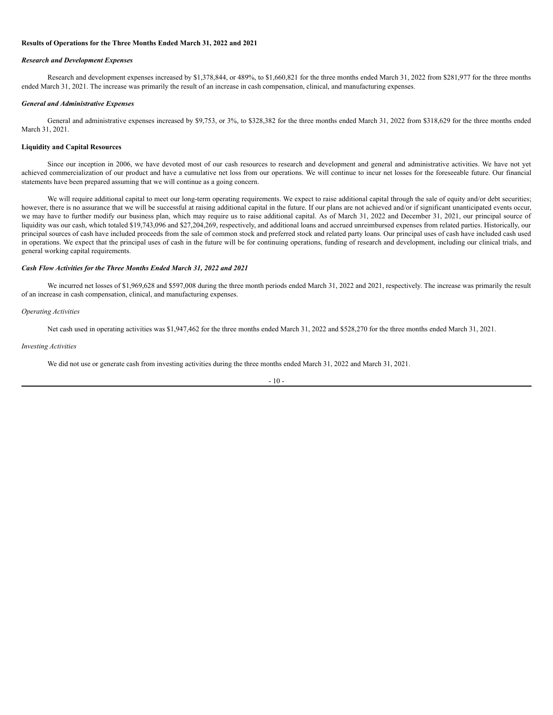#### **Results of Operations for the Three Months Ended March 31, 2022 and 2021**

#### *Research and Development Expenses*

Research and development expenses increased by \$1,378,844, or 489%, to \$1,660,821 for the three months ended March 31, 2022 from \$281,977 for the three months ended March 31, 2021. The increase was primarily the result of an increase in cash compensation, clinical, and manufacturing expenses.

#### *General and Administrative Expenses*

General and administrative expenses increased by \$9,753, or 3%, to \$328,382 for the three months ended March 31, 2022 from \$318,629 for the three months ended March 31, 2021.

#### **Liquidity and Capital Resources**

Since our inception in 2006, we have devoted most of our cash resources to research and development and general and administrative activities. We have not yet achieved commercialization of our product and have a cumulative net loss from our operations. We will continue to incur net losses for the foreseeable future. Our financial statements have been prepared assuming that we will continue as a going concern.

We will require additional capital to meet our long-term operating requirements. We expect to raise additional capital through the sale of equity and/or debt securities; however, there is no assurance that we will be successful at raising additional capital in the future. If our plans are not achieved and/or if significant unanticipated events occur, we may have to further modify our business plan, which may require us to raise additional capital. As of March 31, 2022 and December 31, 2021, our principal source of liquidity was our cash, which totaled \$19,743,096 and \$27,204,269, respectively, and additional loans and accrued unreimbursed expenses from related parties. Historically, our principal sources of cash have included proceeds from the sale of common stock and preferred stock and related party loans. Our principal uses of cash have included cash used in operations. We expect that the principal uses of cash in the future will be for continuing operations, funding of research and development, including our clinical trials, and general working capital requirements.

#### *Cash Flow Activities for the Three Months Ended March 31, 2022 and 2021*

We incurred net losses of \$1,969,628 and \$597,008 during the three month periods ended March 31, 2022 and 2021, respectively. The increase was primarily the result of an increase in cash compensation, clinical, and manufacturing expenses.

#### *Operating Activities*

Net cash used in operating activities was \$1,947,462 for the three months ended March 31, 2022 and \$528,270 for the three months ended March 31, 2021.

#### *Investing Activities*

We did not use or generate cash from investing activities during the three months ended March 31, 2022 and March 31, 2021.

$$
-10 -
$$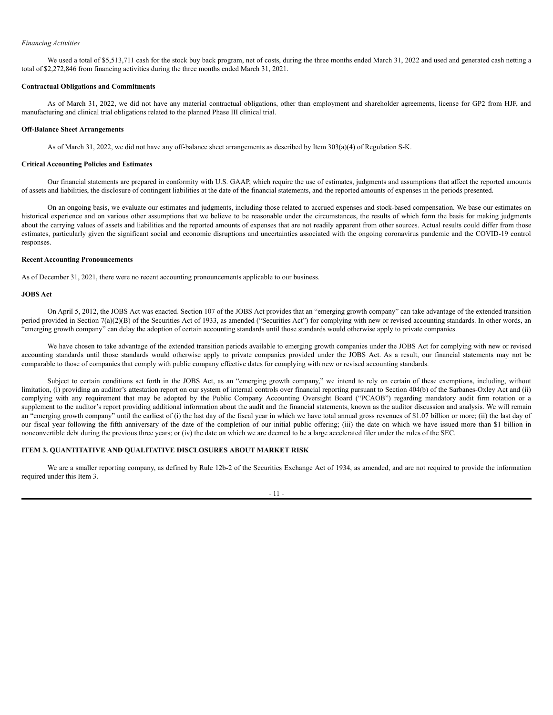#### *Financing Activities*

We used a total of \$5,513,711 cash for the stock buy back program, net of costs, during the three months ended March 31, 2022 and used and generated cash netting a total of \$2,272,846 from financing activities during the three months ended March 31, 2021.

#### **Contractual Obligations and Commitments**

As of March 31, 2022, we did not have any material contractual obligations, other than employment and shareholder agreements, license for GP2 from HJF, and manufacturing and clinical trial obligations related to the planned Phase III clinical trial.

#### **Off-Balance Sheet Arrangements**

As of March 31, 2022, we did not have any off-balance sheet arrangements as described by Item 303(a)(4) of Regulation S-K.

#### **Critical Accounting Policies and Estimates**

Our financial statements are prepared in conformity with U.S. GAAP, which require the use of estimates, judgments and assumptions that affect the reported amounts of assets and liabilities, the disclosure of contingent liabilities at the date of the financial statements, and the reported amounts of expenses in the periods presented.

On an ongoing basis, we evaluate our estimates and judgments, including those related to accrued expenses and stock-based compensation. We base our estimates on historical experience and on various other assumptions that we believe to be reasonable under the circumstances, the results of which form the basis for making judgments about the carrying values of assets and liabilities and the reported amounts of expenses that are not readily apparent from other sources. Actual results could differ from those estimates, particularly given the significant social and economic disruptions and uncertainties associated with the ongoing coronavirus pandemic and the COVID-19 control responses.

#### **Recent Accounting Pronouncements**

As of December 31, 2021, there were no recent accounting pronouncements applicable to our business.

### **JOBS Act**

On April 5, 2012, the JOBS Act was enacted. Section 107 of the JOBS Act provides that an "emerging growth company" can take advantage of the extended transition period provided in Section 7(a)(2)(B) of the Securities Act of 1933, as amended ("Securities Act") for complying with new or revised accounting standards. In other words, an "emerging growth company" can delay the adoption of certain accounting standards until those standards would otherwise apply to private companies.

We have chosen to take advantage of the extended transition periods available to emerging growth companies under the JOBS Act for complying with new or revised accounting standards until those standards would otherwise apply to private companies provided under the JOBS Act. As a result, our financial statements may not be comparable to those of companies that comply with public company effective dates for complying with new or revised accounting standards.

Subject to certain conditions set forth in the JOBS Act, as an "emerging growth company," we intend to rely on certain of these exemptions, including, without limitation, (i) providing an auditor's attestation report on our system of internal controls over financial reporting pursuant to Section 404(b) of the Sarbanes-Oxley Act and (ii) complying with any requirement that may be adopted by the Public Company Accounting Oversight Board ("PCAOB") regarding mandatory audit firm rotation or a supplement to the auditor's report providing additional information about the audit and the financial statements, known as the auditor discussion and analysis. We will remain an "emerging growth company" until the earliest of (i) the last day of the fiscal year in which we have total annual gross revenues of \$1.07 billion or more; (ii) the last day of our fiscal year following the fifth anniversary of the date of the completion of our initial public offering; (iii) the date on which we have issued more than \$1 billion in nonconvertible debt during the previous three years; or (iv) the date on which we are deemed to be a large accelerated filer under the rules of the SEC.

#### <span id="page-10-0"></span>**ITEM 3. QUANTITATIVE AND QUALITATIVE DISCLOSURES ABOUT MARKET RISK**

We are a smaller reporting company, as defined by Rule 12b-2 of the Securities Exchange Act of 1934, as amended, and are not required to provide the information required under this Item 3.

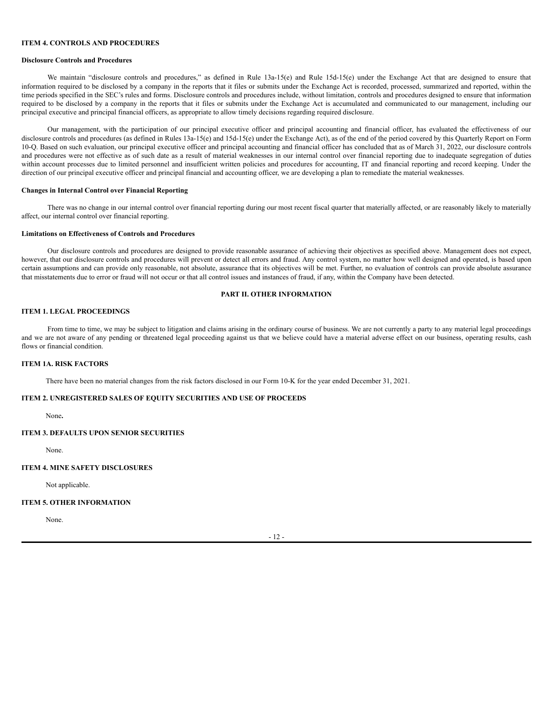#### <span id="page-11-0"></span>**ITEM 4. CONTROLS AND PROCEDURES**

#### **Disclosure Controls and Procedures**

We maintain "disclosure controls and procedures," as defined in Rule 13a-15(e) and Rule 15d-15(e) under the Exchange Act that are designed to ensure that information required to be disclosed by a company in the reports that it files or submits under the Exchange Act is recorded, processed, summarized and reported, within the time periods specified in the SEC's rules and forms. Disclosure controls and procedures include, without limitation, controls and procedures designed to ensure that information required to be disclosed by a company in the reports that it files or submits under the Exchange Act is accumulated and communicated to our management, including our principal executive and principal financial officers, as appropriate to allow timely decisions regarding required disclosure.

Our management, with the participation of our principal executive officer and principal accounting and financial officer, has evaluated the effectiveness of our disclosure controls and procedures (as defined in Rules 13a-15(e) and 15d-15(e) under the Exchange Act), as of the end of the period covered by this Quarterly Report on Form 10-Q. Based on such evaluation, our principal executive officer and principal accounting and financial officer has concluded that as of March 31, 2022, our disclosure controls and procedures were not effective as of such date as a result of material weaknesses in our internal control over financial reporting due to inadequate segregation of duties within account processes due to limited personnel and insufficient written policies and procedures for accounting, IT and financial reporting and record keeping. Under the direction of our principal executive officer and principal financial and accounting officer, we are developing a plan to remediate the material weaknesses.

#### **Changes in Internal Control over Financial Reporting**

There was no change in our internal control over financial reporting during our most recent fiscal quarter that materially affected, or are reasonably likely to materially affect, our internal control over financial reporting.

#### **Limitations on Effectiveness of Controls and Procedures**

Our disclosure controls and procedures are designed to provide reasonable assurance of achieving their objectives as specified above. Management does not expect, however, that our disclosure controls and procedures will prevent or detect all errors and fraud. Any control system, no matter how well designed and operated, is based upon certain assumptions and can provide only reasonable, not absolute, assurance that its objectives will be met. Further, no evaluation of controls can provide absolute assurance that misstatements due to error or fraud will not occur or that all control issues and instances of fraud, if any, within the Company have been detected.

#### **PART II. OTHER INFORMATION**

#### <span id="page-11-2"></span><span id="page-11-1"></span>**ITEM 1. LEGAL PROCEEDINGS**

From time to time, we may be subject to litigation and claims arising in the ordinary course of business. We are not currently a party to any material legal proceedings and we are not aware of any pending or threatened legal proceeding against us that we believe could have a material adverse effect on our business, operating results, cash flows or financial condition.

#### <span id="page-11-3"></span>**ITEM 1A. RISK FACTORS**

There have been no material changes from the risk factors disclosed in our Form 10-K for the year ended December 31, 2021.

# <span id="page-11-4"></span>**ITEM 2. UNREGISTERED SALES OF EQUITY SECURITIES AND USE OF PROCEEDS**

None**.**

#### <span id="page-11-5"></span>**ITEM 3. DEFAULTS UPON SENIOR SECURITIES**

None.

# <span id="page-11-6"></span>**ITEM 4. MINE SAFETY DISCLOSURES**

Not applicable.

#### <span id="page-11-7"></span>**ITEM 5. OTHER INFORMATION**

None.

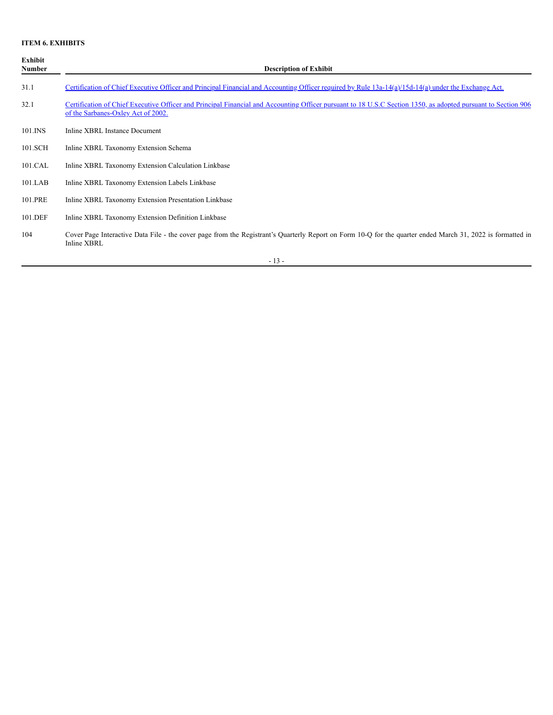# <span id="page-12-0"></span>**ITEM 6. EXHIBITS**

| Exhibit<br>Number | <b>Description of Exhibit</b>                                                                                                                                                                       |
|-------------------|-----------------------------------------------------------------------------------------------------------------------------------------------------------------------------------------------------|
| 31.1              | Certification of Chief Executive Officer and Principal Financial and Accounting Officer required by Rule 13a-14(a)/15d-14(a) under the Exchange Act.                                                |
| 32.1              | Certification of Chief Executive Officer and Principal Financial and Accounting Officer pursuant to 18 U.S.C Section 1350, as adopted pursuant to Section 906<br>of the Sarbanes-Oxley Act of 2002. |
| 101.INS           | Inline XBRL Instance Document                                                                                                                                                                       |
| 101.SCH           | Inline XBRL Taxonomy Extension Schema                                                                                                                                                               |
| 101.CAL           | Inline XBRL Taxonomy Extension Calculation Linkbase                                                                                                                                                 |
| $101$ .LAB        | Inline XBRL Taxonomy Extension Labels Linkbase                                                                                                                                                      |
| 101.PRE           | Inline XBRL Taxonomy Extension Presentation Linkbase                                                                                                                                                |
| 101.DEF           | Inline XBRL Taxonomy Extension Definition Linkbase                                                                                                                                                  |
| 104               | Cover Page Interactive Data File - the cover page from the Registrant's Quarterly Report on Form 10-Q for the quarter ended March 31, 2022 is formatted in<br>Inline XBRL                           |

- 13 -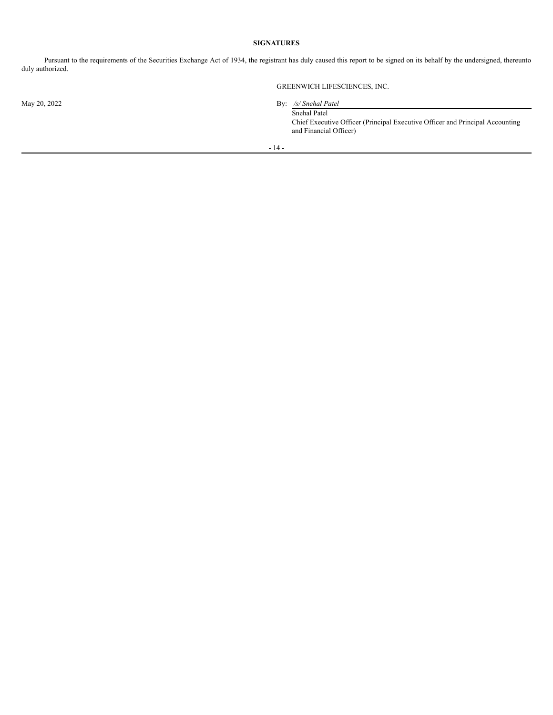## **SIGNATURES**

<span id="page-13-0"></span>Pursuant to the requirements of the Securities Exchange Act of 1934, the registrant has duly caused this report to be signed on its behalf by the undersigned, thereunto duly authorized.

GREENWICH LIFESCIENCES, INC.

May 20, 2022 By: */s/ Snehal Patel* Snehal Patel

Chief Executive Officer (Principal Executive Officer and Principal Accounting and Financial Officer)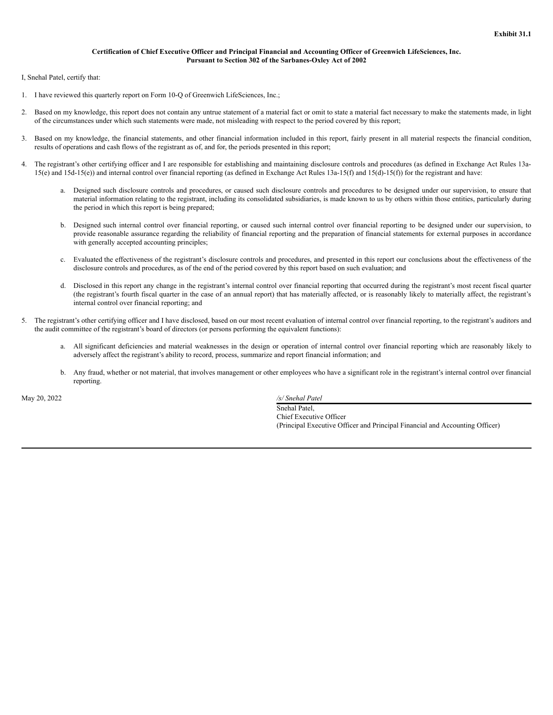# **Certification of Chief Executive Officer and Principal Financial and Accounting Officer of Greenwich LifeSciences, Inc. Pursuant to Section 302 of the Sarbanes-Oxley Act of 2002**

I, Snehal Patel, certify that:

- 1. I have reviewed this quarterly report on Form 10-Q of Greenwich LifeSciences, Inc.;
- Based on my knowledge, this report does not contain any untrue statement of a material fact or omit to state a material fact necessary to make the statements made, in light of the circumstances under which such statements were made, not misleading with respect to the period covered by this report;
- 3. Based on my knowledge, the financial statements, and other financial information included in this report, fairly present in all material respects the financial condition, results of operations and cash flows of the registrant as of, and for, the periods presented in this report;
- 4. The registrant's other certifying officer and I are responsible for establishing and maintaining disclosure controls and procedures (as defined in Exchange Act Rules 13a-15(e) and 15d-15(e)) and internal control over financial reporting (as defined in Exchange Act Rules 13a-15(f) and 15(d)-15(f)) for the registrant and have:
	- a. Designed such disclosure controls and procedures, or caused such disclosure controls and procedures to be designed under our supervision, to ensure that material information relating to the registrant, including its consolidated subsidiaries, is made known to us by others within those entities, particularly during the period in which this report is being prepared;
	- b. Designed such internal control over financial reporting, or caused such internal control over financial reporting to be designed under our supervision, to provide reasonable assurance regarding the reliability of financial reporting and the preparation of financial statements for external purposes in accordance with generally accepted accounting principles;
	- c. Evaluated the effectiveness of the registrant's disclosure controls and procedures, and presented in this report our conclusions about the effectiveness of the disclosure controls and procedures, as of the end of the period covered by this report based on such evaluation; and
	- d. Disclosed in this report any change in the registrant's internal control over financial reporting that occurred during the registrant's most recent fiscal quarter (the registrant's fourth fiscal quarter in the case of an annual report) that has materially affected, or is reasonably likely to materially affect, the registrant's internal control over financial reporting; and
- 5. The registrant's other certifying officer and I have disclosed, based on our most recent evaluation of internal control over financial reporting, to the registrant's auditors and the audit committee of the registrant's board of directors (or persons performing the equivalent functions):
	- a. All significant deficiencies and material weaknesses in the design or operation of internal control over financial reporting which are reasonably likely to adversely affect the registrant's ability to record, process, summarize and report financial information; and
	- b. Any fraud, whether or not material, that involves management or other employees who have a significant role in the registrant's internal control over financial reporting.

May 20, 2022 */s/ Snehal Patel*

Snehal Patel, Chief Executive Officer (Principal Executive Officer and Principal Financial and Accounting Officer)